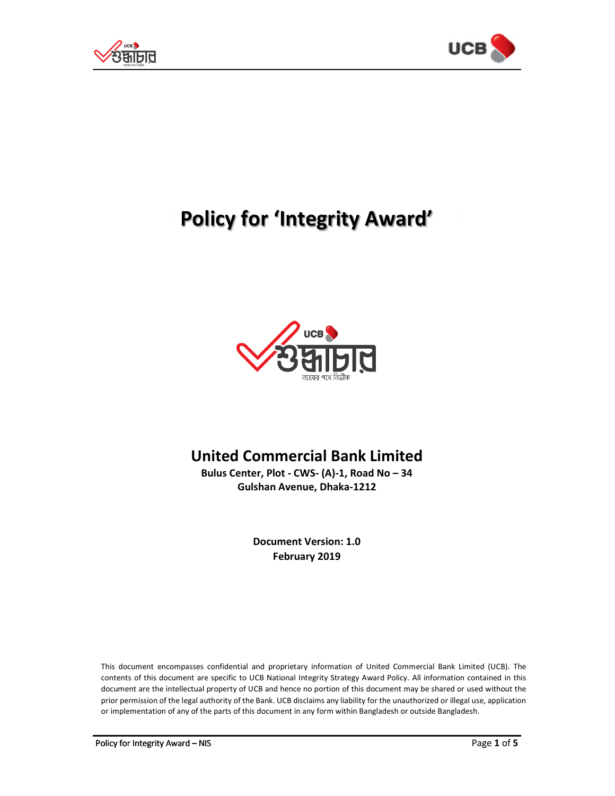



# **Policy for 'Integrity Award'**



# **United Commercial Bank Limited**

**Bulus Center, Plot - CWS- (A)-1, Road No – 34 Gulshan Avenue, Dhaka-1212** 

> **Document Version: 1.0 February 2019**

This document encompasses confidential and proprietary information of United Commercial Bank Limited (UCB). The contents of this document are specific to UCB National Integrity Strategy Award Policy. All information contained in this document are the intellectual property of UCB and hence no portion of this document may be shared or used without the prior permission of the legal authority of the Bank. UCB disclaims any liability for the unauthorized or illegal use, application or implementation of any of the parts of this document in any form within Bangladesh or outside Bangladesh.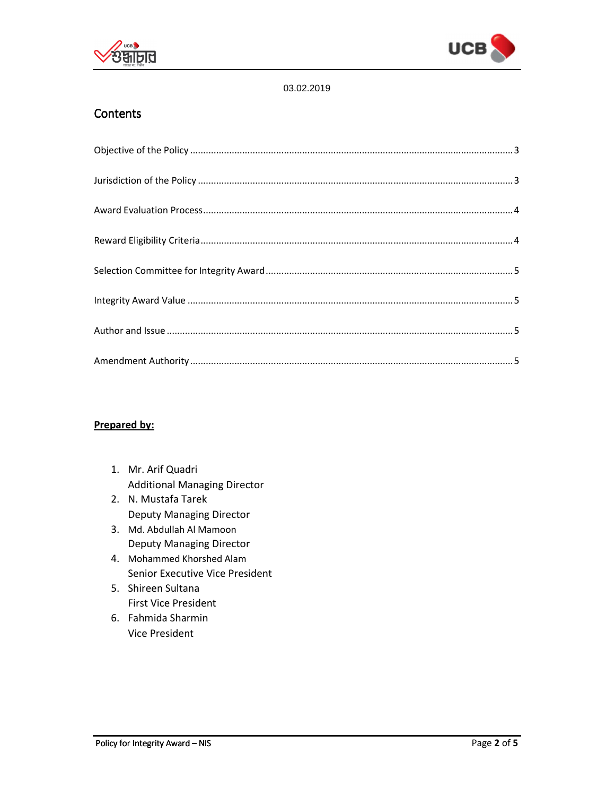



#### 03.02.2019

## **Contents**

#### **Prepared by:**

- 1. Mr. Arif Quadri Additional Managing Director
- 2. N. Mustafa Tarek Deputy Managing Director
- 3. Md. Abdullah Al Mamoon Deputy Managing Director
- 4. Mohammed Khorshed Alam Senior Executive Vice President
- 5. Shireen Sultana First Vice President
- 6. Fahmida Sharmin Vice President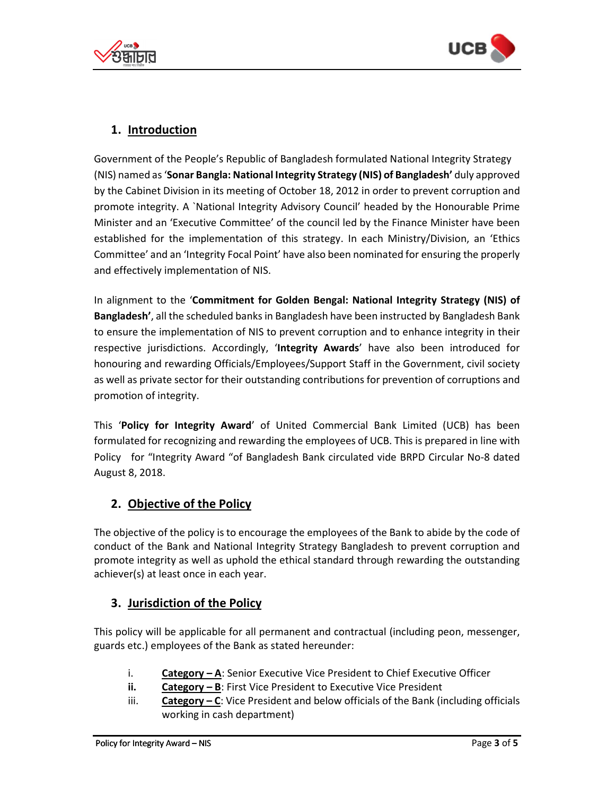



# **1. Introduction**

Government of the People's Republic of Bangladesh formulated National Integrity Strategy (NIS) named as '**Sonar Bangla: National Integrity Strategy (NIS) of Bangladesh'** duly approved by the Cabinet Division in its meeting of October 18, 2012 in order to prevent corruption and promote integrity. A `National Integrity Advisory Council' headed by the Honourable Prime Minister and an 'Executive Committee' of the council led by the Finance Minister have been established for the implementation of this strategy. In each Ministry/Division, an 'Ethics Committee' and an 'Integrity Focal Point' have also been nominated for ensuring the properly and effectively implementation of NIS.

In alignment to the '**Commitment for Golden Bengal: National Integrity Strategy (NIS) of Bangladesh'**, all the scheduled banks in Bangladesh have been instructed by Bangladesh Bank to ensure the implementation of NIS to prevent corruption and to enhance integrity in their respective jurisdictions. Accordingly, '**Integrity Awards**' have also been introduced for honouring and rewarding Officials/Employees/Support Staff in the Government, civil society as well as private sector for their outstanding contributions for prevention of corruptions and promotion of integrity.

This '**Policy for Integrity Award**' of United Commercial Bank Limited (UCB) has been formulated for recognizing and rewarding the employees of UCB. This is prepared in line with Policy for "Integrity Award "of Bangladesh Bank circulated vide BRPD Circular No-8 dated August 8, 2018.

# **2. Objective of the Policy**

The objective of the policy is to encourage the employees of the Bank to abide by the code of conduct of the Bank and National Integrity Strategy Bangladesh to prevent corruption and promote integrity as well as uphold the ethical standard through rewarding the outstanding achiever(s) at least once in each year.

# **3. Jurisdiction of the Policy**

This policy will be applicable for all permanent and contractual (including peon, messenger, guards etc.) employees of the Bank as stated hereunder:

- i. **Category A**: Senior Executive Vice President to Chief Executive Officer
- **ii. Category B**: First Vice President to Executive Vice President
- iii. **Category C**: Vice President and below officials of the Bank (including officials working in cash department)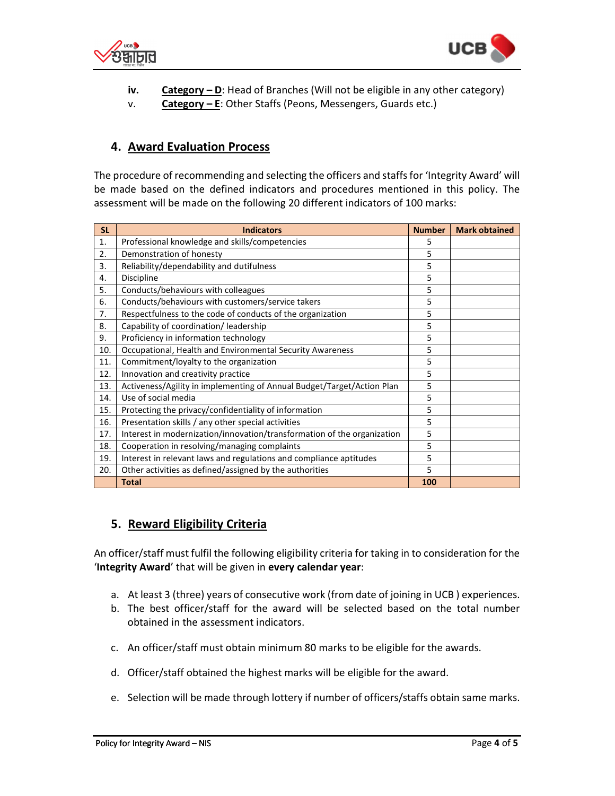



- **iv. Category D**: Head of Branches (Will not be eligible in any other category)
- v. **Category E**: Other Staffs (Peons, Messengers, Guards etc.)

### **4. Award Evaluation Process**

The procedure of recommending and selecting the officers and staffs for 'Integrity Award' will be made based on the defined indicators and procedures mentioned in this policy. The assessment will be made on the following 20 different indicators of 100 marks:

| <b>SL</b> | <b>Indicators</b>                                                       | <b>Number</b> | <b>Mark obtained</b> |
|-----------|-------------------------------------------------------------------------|---------------|----------------------|
| 1.        | Professional knowledge and skills/competencies                          | 5             |                      |
| 2.        | Demonstration of honesty                                                | 5             |                      |
| 3.        | Reliability/dependability and dutifulness                               | 5             |                      |
| 4.        | Discipline                                                              | 5             |                      |
| 5.        | Conducts/behaviours with colleagues                                     | 5             |                      |
| 6.        | Conducts/behaviours with customers/service takers                       | 5             |                      |
| 7.        | Respectfulness to the code of conducts of the organization              | 5             |                      |
| 8.        | Capability of coordination/ leadership                                  | 5             |                      |
| 9.        | Proficiency in information technology                                   | 5             |                      |
| 10.       | Occupational, Health and Environmental Security Awareness               | 5             |                      |
| 11.       | Commitment/loyalty to the organization                                  | 5             |                      |
| 12.       | Innovation and creativity practice                                      | 5             |                      |
| 13.       | Activeness/Agility in implementing of Annual Budget/Target/Action Plan  | 5             |                      |
| 14.       | Use of social media                                                     | 5             |                      |
| 15.       | Protecting the privacy/confidentiality of information                   | 5             |                      |
| 16.       | Presentation skills / any other special activities                      | 5             |                      |
| 17.       | Interest in modernization/innovation/transformation of the organization | 5             |                      |
| 18.       | Cooperation in resolving/managing complaints                            | 5             |                      |
| 19.       | Interest in relevant laws and regulations and compliance aptitudes      | 5             |                      |
| 20.       | Other activities as defined/assigned by the authorities                 | 5             |                      |
|           | <b>Total</b>                                                            | 100           |                      |

#### **5. Reward Eligibility Criteria**

An officer/staff must fulfil the following eligibility criteria for taking in to consideration for the '**Integrity Award**' that will be given in **every calendar year**:

- a. At least 3 (three) years of consecutive work (from date of joining in UCB ) experiences.
- b. The best officer/staff for the award will be selected based on the total number obtained in the assessment indicators.
- c. An officer/staff must obtain minimum 80 marks to be eligible for the awards.
- d. Officer/staff obtained the highest marks will be eligible for the award.
- e. Selection will be made through lottery if number of officers/staffs obtain same marks.